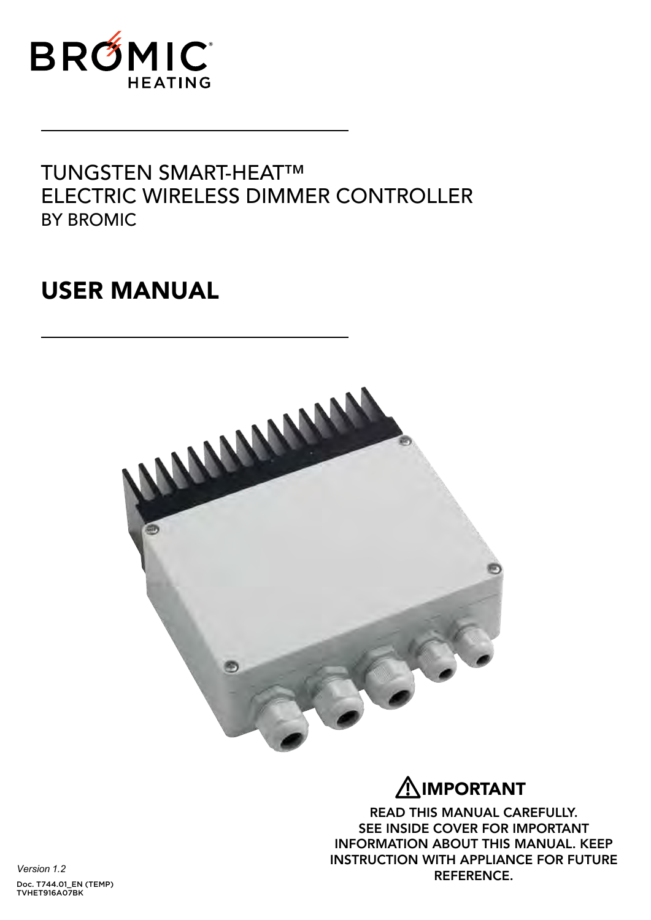

## TUNGSTEN SMART-HEAT™ ELECTRIC WIRELESS DIMMER CONTROLLER BY BROMIC

# USER MANUAL



# IMPORTANT **!**

READ THIS MANUAL CAREFULLY. SEE INSIDE COVER FOR IMPORTANT INFORMATION ABOUT THIS MANUAL. KEEP INSTRUCTION WITH APPLIANCE FOR FUTURE REFERENCE.

*Version 1.2* Doc. T744.01\_EN (TEMP) TVHET916A07BK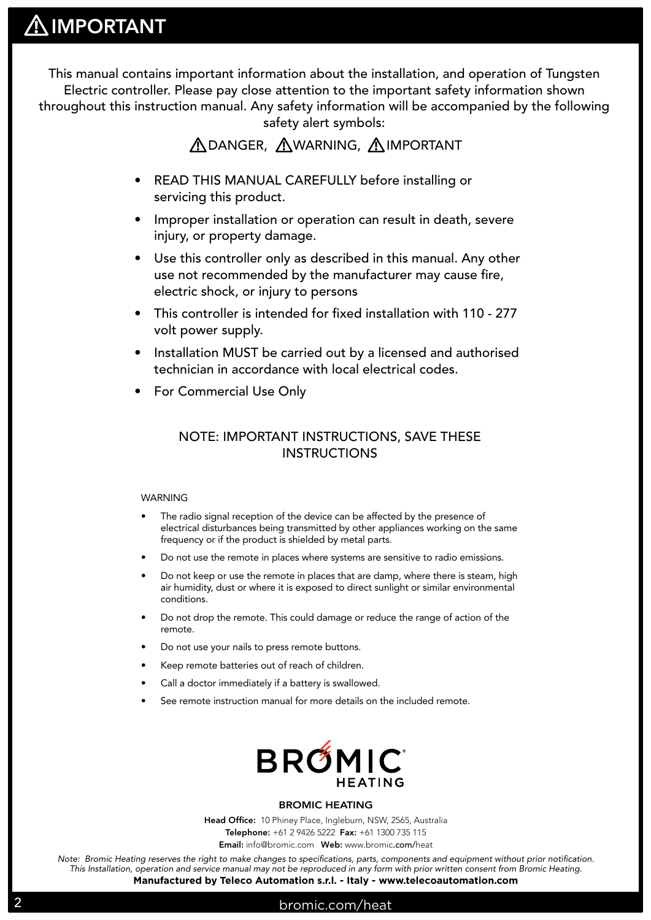This manual contains important information about the installation, and operation of Tungsten Electric controller. Please pay close attention to the important safety information shown throughout this instruction manual. Any safety information will be accompanied by the following safety alert symbols:

### **ADANGER, AWARNING, AIMPORTANT**

- READ THIS MANUAL CAREFULLY before installing or servicing this product.
- Improper installation or operation can result in death, severe injury, or property damage.
- Use this controller only as described in this manual. Any other use not recommended by the manufacturer may cause fire, electric shock, or injury to persons
- This controller is intended for fixed installation with 110 277 volt power supply.
- Installation MUST be carried out by a licensed and authorised technician in accordance with local electrical codes.
- For Commercial Use Only

### NOTE: IMPORTANT INSTRUCTIONS, SAVE THESE INSTRUCTIONS

#### WARNING

- The radio signal reception of the device can be affected by the presence of electrical disturbances being transmitted by other appliances working on the same frequency or if the product is shielded by metal parts.
- Do not use the remote in places where systems are sensitive to radio emissions.
- Do not keep or use the remote in places that are damp, where there is steam, high air humidity, dust or where it is exposed to direct sunlight or similar environmental conditions.
- Do not drop the remote. This could damage or reduce the range of action of the remote.
- Do not use your nails to press remote buttons.
- Keep remote batteries out of reach of children.
- Call a doctor immediately if a battery is swallowed.
- See remote instruction manual for more details on the included remote.



#### BROMIC HEATING

Head Office: 10 Phiney Place, Ingleburn, NSW, 2565, Australia Telephone: +61 2 9426 5222 Fax: +61 1300 735 115

Email: info@bromic.com Web: www.bromic.com/heat

*Note: Bromic Heating reserves the right to make changes to specifications, parts, components and equipment without prior notification. This Installation, operation and service manual may not be reproduced in any form with prior written consent from Bromic Heating.*  **Manufactured by Teleco Automation s.r.l. - Italy - www.telecoautomation.com**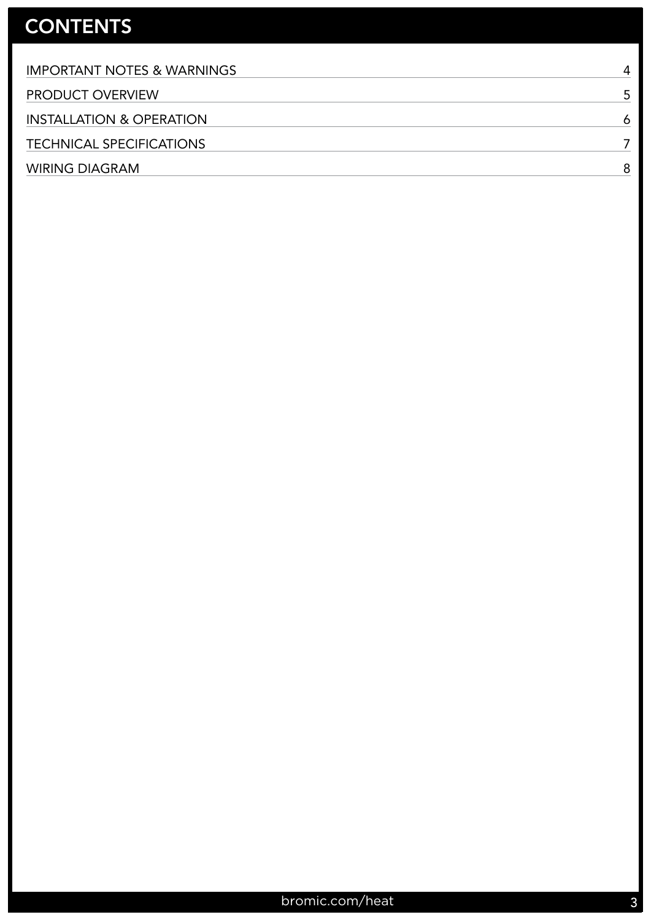# **CONTENTS**

| <b>IMPORTANT NOTES &amp; WARNINGS</b> | 4 |
|---------------------------------------|---|
| <b>PRODUCT OVERVIEW</b>               |   |
| <b>INSTALLATION &amp; OPERATION</b>   | 6 |
| <b>TECHNICAL SPECIFICATIONS</b>       |   |
| <b>WIRING DIAGRAM</b>                 |   |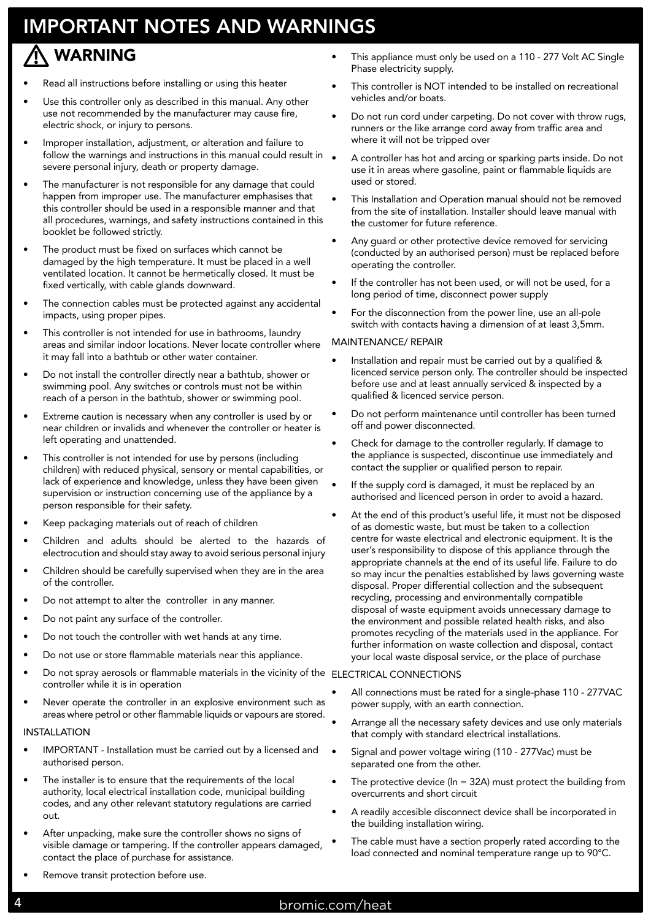# IMPORTANT NOTES AND WARNINGS

### WARNING **!**

- Read all instructions before installing or using this heater
- Use this controller only as described in this manual. Any other use not recommended by the manufacturer may cause fire, electric shock, or injury to persons.
- Improper installation, adjustment, or alteration and failure to follow the warnings and instructions in this manual could result in  $\bullet$ severe personal injury, death or property damage.
- The manufacturer is not responsible for any damage that could happen from improper use. The manufacturer emphasises that this controller should be used in a responsible manner and that all procedures, warnings, and safety instructions contained in this booklet be followed strictly.
- The product must be fixed on surfaces which cannot be damaged by the high temperature. It must be placed in a well ventilated location. It cannot be hermetically closed. It must be fixed vertically, with cable glands downward.
- The connection cables must be protected against any accidental impacts, using proper pipes.
- This controller is not intended for use in bathrooms, laundry areas and similar indoor locations. Never locate controller where it may fall into a bathtub or other water container.
- Do not install the controller directly near a bathtub, shower or swimming pool. Any switches or controls must not be within reach of a person in the bathtub, shower or swimming pool.
- Extreme caution is necessary when any controller is used by or near children or invalids and whenever the controller or heater is left operating and unattended.
- This controller is not intended for use by persons (including children) with reduced physical, sensory or mental capabilities, or lack of experience and knowledge, unless they have been given supervision or instruction concerning use of the appliance by a person responsible for their safety.
- Keep packaging materials out of reach of children
- Children and adults should be alerted to the hazards of electrocution and should stay away to avoid serious personal injury
- Children should be carefully supervised when they are in the area of the controller.
- Do not attempt to alter the controller in any manner.
- Do not paint any surface of the controller.
- Do not touch the controller with wet hands at any time.
- Do not use or store flammable materials near this appliance.
- Do not spray aerosols or flammable materials in the vicinity of the ELECTRICAL CONNECTIONS controller while it is in operation
- Never operate the controller in an explosive environment such as areas where petrol or other flammable liquids or vapours are stored.

### INSTALLATION

- IMPORTANT Installation must be carried out by a licensed and authorised person.
- The installer is to ensure that the requirements of the local authority, local electrical installation code, municipal building codes, and any other relevant statutory regulations are carried out.
- After unpacking, make sure the controller shows no signs of visible damage or tampering. If the controller appears damaged, contact the place of purchase for assistance.
- This appliance must only be used on a 110 277 Volt AC Single Phase electricity supply.
- This controller is NOT intended to be installed on recreational vehicles and/or boats.
- Do not run cord under carpeting. Do not cover with throw rugs, runners or the like arrange cord away from traffic area and where it will not be tripped over
- A controller has hot and arcing or sparking parts inside. Do not use it in areas where gasoline, paint or flammable liquids are used or stored.
- This Installation and Operation manual should not be removed from the site of installation. Installer should leave manual with the customer for future reference.
- Any guard or other protective device removed for servicing (conducted by an authorised person) must be replaced before operating the controller.
- If the controller has not been used, or will not be used, for a long period of time, disconnect power supply
- For the disconnection from the power line, use an all-pole switch with contacts having a dimension of at least 3,5mm.

#### MAINTENANCE/ REPAIR

- Installation and repair must be carried out by a qualified & licenced service person only. The controller should be inspected before use and at least annually serviced & inspected by a qualified & licenced service person.
- Do not perform maintenance until controller has been turned off and power disconnected.
- Check for damage to the controller regularly. If damage to the appliance is suspected, discontinue use immediately and contact the supplier or qualified person to repair.
- If the supply cord is damaged, it must be replaced by an authorised and licenced person in order to avoid a hazard.
- At the end of this product's useful life, it must not be disposed of as domestic waste, but must be taken to a collection centre for waste electrical and electronic equipment. It is the user's responsibility to dispose of this appliance through the appropriate channels at the end of its useful life. Failure to do so may incur the penalties established by laws governing waste disposal. Proper differential collection and the subsequent recycling, processing and environmentally compatible disposal of waste equipment avoids unnecessary damage to the environment and possible related health risks, and also promotes recycling of the materials used in the appliance. For further information on waste collection and disposal, contact your local waste disposal service, or the place of purchase

- All connections must be rated for a single-phase 110 277VAC power supply, with an earth connection.
- Arrange all the necessary safety devices and use only materials that comply with standard electrical installations.
- Signal and power voltage wiring (110 277Vac) must be separated one from the other.
- The protective device ( $ln = 32A$ ) must protect the building from overcurrents and short circuit
- A readily accesible disconnect device shall be incorporated in the building installation wiring.
- The cable must have a section properly rated according to the load connected and nominal temperature range up to 90°C.

Remove transit protection before use.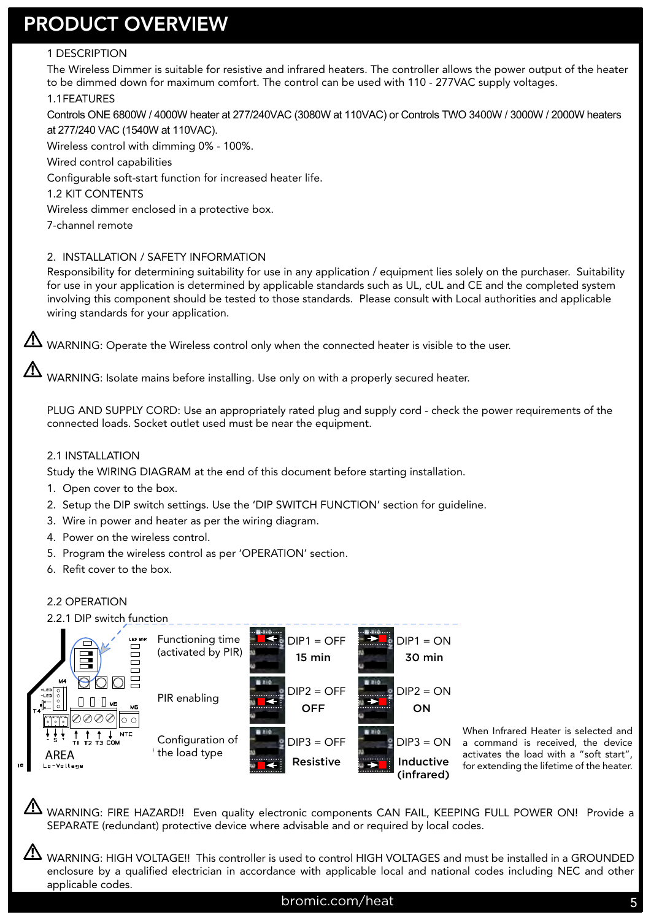# PRODUCT OVERVIEW

### 1 DESCRIPTION

The Wireless Dimmer is suitable for resistive and infrared heaters. The controller allows the power output of the heater to be dimmed down for maximum comfort. The control can be used with 110 - 277VAC supply voltages.

### 1.1 FEATURES

Controls ONE 6800W / 4000W heater at 277/240VAC (3080W at 110VAC) or Controls TWO 3400W / 3000W / 2000W heaters at 277/240 VAC (1540W at 110VAC).

Wireless control with dimming 0% - 100%.

Wired control capabilities

Configurable soft-start function for increased heater life.

1.2 KIT CONTENTS

Wireless dimmer enclosed in a protective box.

7-channel remote

**!**

**!**

**!**

### 2. INSTALLATION / SAFETY INFORMATION

Responsibility for determining suitability for use in any application / equipment lies solely on the purchaser. Suitability for use in your application is determined by applicable standards such as UL, cUL and CE and the completed system involving this component should be tested to those standards. Please consult with Local authorities and applicable wiring standards for your application.

 $\blacktriangle$  WARNING: Operate the Wireless control only when the connected heater is visible to the user.

WARNING: Isolate mains before installing. Use only on with a properly secured heater.

PLUG AND SUPPLY CORD: Use an appropriately rated plug and supply cord - check the power requirements of the connected loads. Socket outlet used must be near the equipment.

#### 2.1 INSTALLATION

Study the WIRING DIAGRAM at the end of this document before starting installation.

- 1. Open cover to the box.
- 2. Setup the DIP switch settings. Use the 'DIP SWITCH FUNCTION' section for guideline.
- 3. Wire in power and heater as per the wiring diagram.
- 4. Power on the wireless control.
- 5. Program the wireless control as per 'OPERATION' section.
- 6. Refit cover to the box.

#### 2.2 OPERATION

#### 2.2.1 DIP switch function



When Infrared Heater is selected and a command is received, the device activates the load with a "soft start", for extending the lifetime of the heater.

WARNING: FIRE HAZARD!! Even quality electronic components CAN FAIL, KEEPING FULL POWER ON! Provide a SEPARATE (redundant) protective device where advisable and or required by local codes. **!**

WARNING: HIGH VOLTAGE!! This controller is used to control HIGH VOLTAGES and must be installed in a GROUNDED enclosure by a qualified electrician in accordance with applicable local and national codes including NEC and other applicable codes.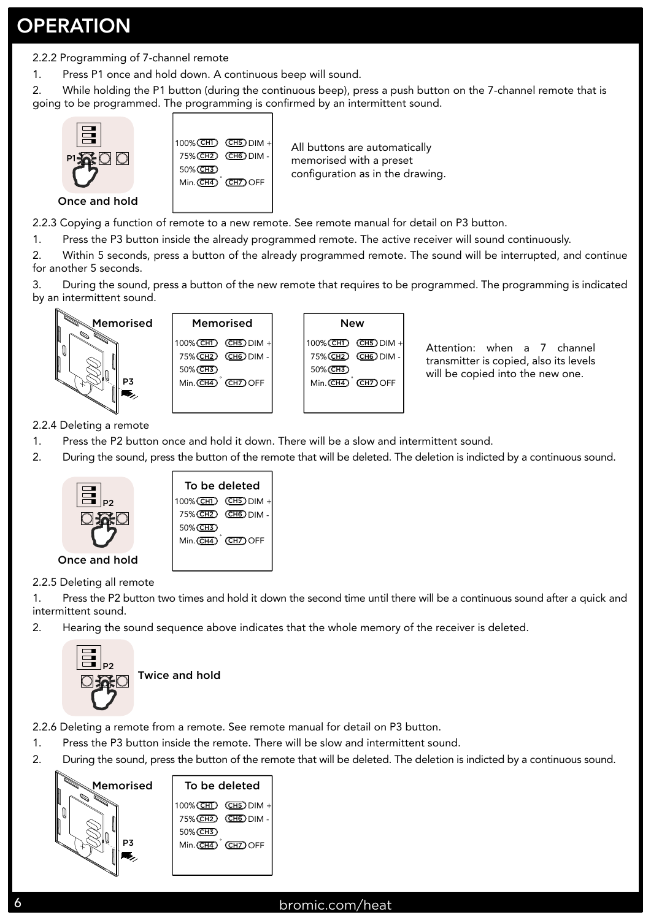# **OPERATION**

2.2.2 Programming of 7-channel remote

1. Press P1 once and hold down. A continuous beep will sound.

2. While holding the P1 button (during the continuous beep), press a push button on the 7-channel remote that is going to be programmed. The programming is confirmed by an intermittent sound.



- 2.2.3 Copying a function of remote to a new remote. See remote manual for detail on P3 button.
- 1. Press the P3 button inside the already programmed remote. The active receiver will sound continuously.

2. Within 5 seconds, press a button of the already programmed remote. The sound will be interrupted, and continue for another 5 seconds.

3. During the sound, press a button of the new remote that requires to be programmed. The programming is indicated by an intermittent sound.







Attention: when a 7 channel transmitter is copied, also its levels will be copied into the new one.

2.2.4 Deleting a remote

- 1. Press the P2 button once and hold it down. There will be a slow and intermittent sound.
- 2. During the sound, press the button of the remote that will be deleted. The deletion is indicted by a continuous sound.



2.2.5 Deleting all remote

- 1. Press the P2 button two times and hold it down the second time until there will be a continuous sound after a quick and intermittent sound.
- 2. Hearing the sound sequence above indicates that the whole memory of the receiver is deleted.



2.2.6 Deleting a remote from a remote. See remote manual for detail on P3 button.

- 1. Press the P3 button inside the remote. There will be slow and intermittent sound.
- 2. During the sound, press the button of the remote that will be deleted. The deletion is indicted by a continuous sound.

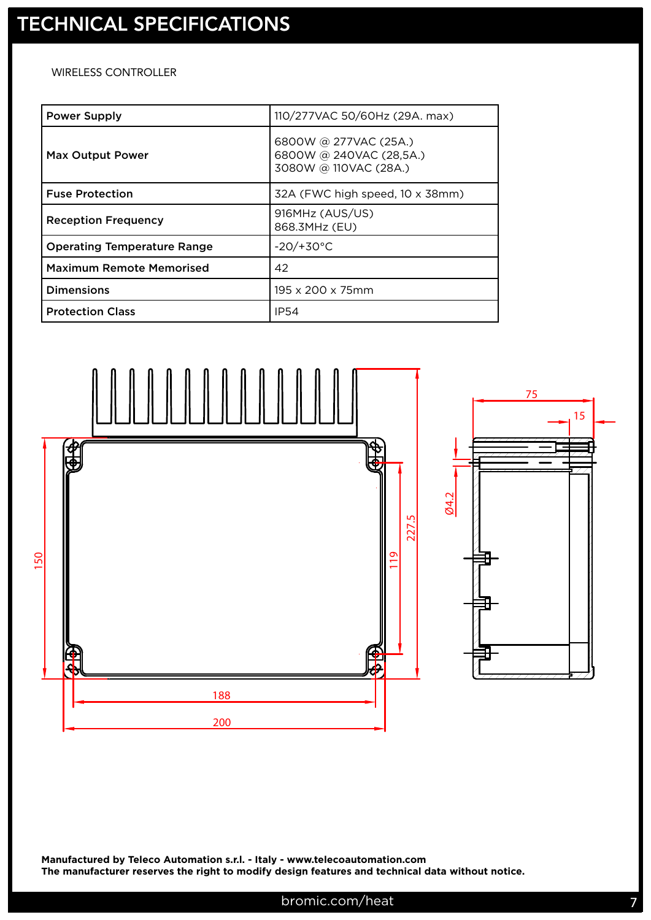### WIRELESS CONTROLLER

| <b>Power Supply</b>                | 110/277VAC 50/60Hz (29A. max)                                             |
|------------------------------------|---------------------------------------------------------------------------|
| <b>Max Output Power</b>            | 6800W @ 277VAC (25A.)<br>6800W @ 240VAC (28,5A.)<br>3080W @ 110VAC (28A.) |
| <b>Fuse Protection</b>             | 32A (FWC high speed, 10 x 38mm)                                           |
| <b>Reception Frequency</b>         | 916MHz (AUS/US)<br>868.3MHz (EU)                                          |
| <b>Operating Temperature Range</b> | $-20/+30°C$                                                               |
| <b>Maximum Remote Memorised</b>    | 42                                                                        |
| <b>Dimensions</b>                  | 195 x 200 x 75mm                                                          |
| <b>Protection Class</b>            | <b>IP54</b>                                                               |



**Manufactured by Teleco Automation s.r.l. - Italy - www.telecoautomation.com The manufacturer reserves the right to modify design features and technical data without notice.**